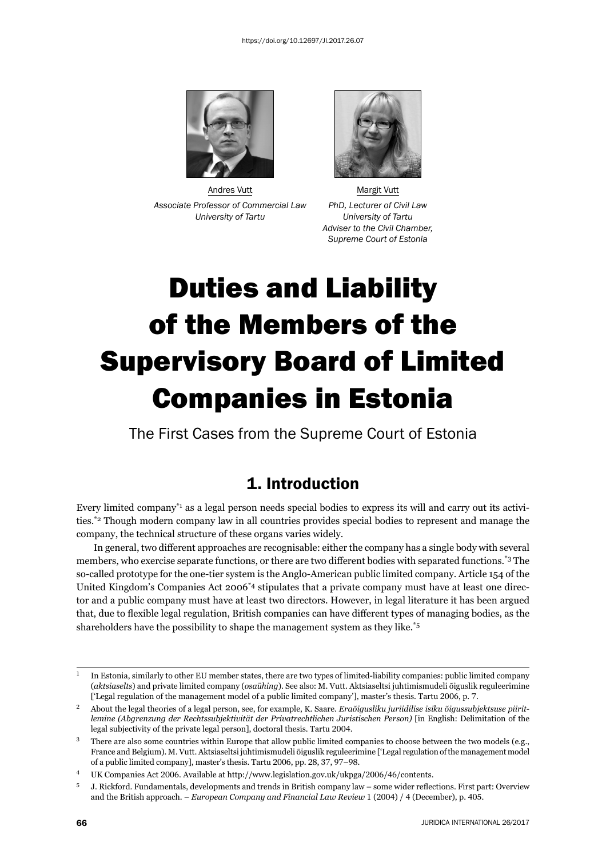

Andres Vutt **Margit Vutt** Margit Vutt *Associate Professor of Commercial Law PhD, Lecturer of Civil Law University of Tartu University of Tartu*



 *Adviser to the Civil Chamber, Supreme Court of Estonia*

# Duties and Liability of the Members of the Supervisory Board of Limited Companies in Estonia

The First Cases from the Supreme Court of Estonia

## 1. Introduction

Every limited company\*1 as a legal person needs special bodies to express its will and carry out its activities.\*2 Though modern company law in all countries provides special bodies to represent and manage the company, the technical structure of these organs varies widely.

In general, two different approaches are recognisable: either the company has a single body with several members, who exercise separate functions, or there are two different bodies with separated functions.<sup>\*3</sup> The so-called prototype for the one-tier system is the Anglo-American public limited company. Article 154 of the United Kingdom's Companies Act 2006\*4 stipulates that a private company must have at least one director and a public company must have at least two directors. However, in legal literature it has been argued that, due to flexible legal regulation, British companies can have different types of managing bodies, as the shareholders have the possibility to shape the management system as they like.\*5

 $\frac{1}{1}$  In Estonia, similarly to other EU member states, there are two types of limited-liability companies: public limited company (*aktsiaselts*) and private limited company (*osaühing*). See also: M. Vutt. Aktsiaseltsi juhtimismudeli õiguslik reguleerimine ['Legal regulation of the management model of a public limited company'], master's thesis. Tartu 2006, p. 7.

<sup>&</sup>lt;sup>2</sup> About the legal theories of a legal person, see, for example, K. Saare. *Eraõigusliku juriidilise isiku õigussubjektsuse piiritlemine (Abgrenzung der Rechtssubjektivität der Privatrechtlichen Juristischen Person)* [in English: Delimitation of the legal subjectivity of the private legal person], doctoral thesis. Tartu 2004.

<sup>&</sup>lt;sup>3</sup> There are also some countries within Europe that allow public limited companies to choose between the two models (e.g., France and Belgium). M. Vutt. Aktsiaseltsi juhtimismudeli õiguslik reguleerimine ['Legal regulation of the management model of a public limited company], master's thesis. Tartu 2006, pp. 28, 37, 97-98.

<sup>&</sup>lt;sup>4</sup> UK Companies Act 2006. Available at http://www.legislation.gov.uk/ukpga/2006/46/contents.

<sup>5</sup> J. Rickford. Fundamentals, developments and trends in British company law – some wider reflections. First part: Overview and the British approach. – *European Company and Financial Law Review* 1 (2004) / 4 (December), p. 405.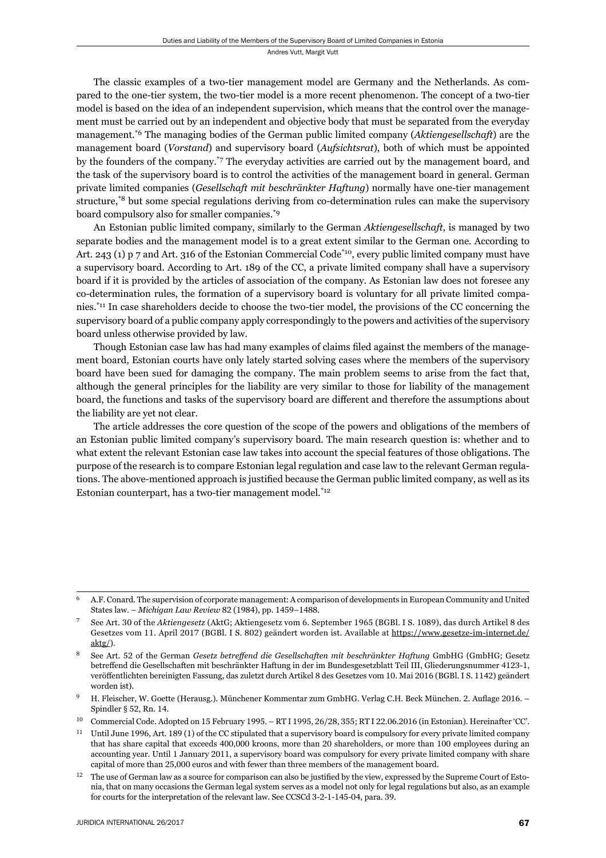The classic examples of a two-tier management model are Germany and the Netherlands. As compared to the one-tier system, the two-tier model is a more recent phenomenon. The concept of a two-tier model is based on the idea of an independent supervision, which means that the control over the management must be carried out by an independent and objective body that must be separated from the everyday management.\*6 The managing bodies of the German public limited company (*Aktiengesellschaft*) are the management board (*Vorstand*) and supervisory board (*Aufsichtsrat*), both of which must be appointed by the founders of the company.\*7 The everyday activities are carried out by the management board, and the task of the supervisory board is to control the activities of the management board in general. German private limited companies (*Gesellschaft mit beschränkter Haftung*) normally have one-tier management structure,\*8 but some special regulations deriving from co-determination rules can make the supervisory board compulsory also for smaller companies.\*9

An Estonian public limited company, similarly to the German *Aktiengesellschaft*, is managed by two separate bodies and the management model is to a great extent similar to the German one. According to Art. 243 (1) p 7 and Art. 316 of the Estonian Commercial Code\*10, every public limited company must have a supervisory board. According to Art. 189 of the CC, a private limited company shall have a supervisory board if it is provided by the articles of association of the company. As Estonian law does not foresee any co-determination rules, the formation of a supervisory board is voluntary for all private limited companies.\*11 In case shareholders decide to choose the two-tier model, the provisions of the CC concerning the supervisory board of a public company apply correspondingly to the powers and activities of the supervisory board unless otherwise provided by law.

Though Estonian case law has had many examples of claims filed against the members of the management board, Estonian courts have only lately started solving cases where the members of the supervisory board have been sued for damaging the company. The main problem seems to arise from the fact that, although the general principles for the liability are very similar to those for liability of the management board, the functions and tasks of the supervisory board are different and therefore the assumptions about the liability are yet not clear.

The article addresses the core question of the scope of the powers and obligations of the members of an Estonian public limited company's supervisory board. The main research question is: whether and to what extent the relevant Estonian case law takes into account the special features of those obligations. The purpose of the research is to compare Estonian legal regulation and case law to the relevant German regulations. The above-mentioned approach is justified because the German public limited company, as well as its Estonian counterpart, has a two-tier management model.<sup>\*12</sup>

<sup>ɷ</sup> A.F. Conard. The supervision of corporate management: A comparison of developments in European Community and United States law. – *Michigan Law Review* 82 (1984), pp. 1459–1488.

See Art. 30 of the *Aktiengesetz* (AktG; Aktiengesetz vom 6. September 1965 (BGBl. I S. 1089), das durch Artikel 8 des Gesetzes vom 11. April 2017 (BGBl. I S. 802) geändert worden ist. Available at https://www.gesetze-im-internet.de/ aktg/).

See Art. 52 of the German *Gesetz betreffend die Gesellschaften mit beschränkter Haftung* GmbHG (GmbHG; Gesetz betreffend die Gesellschaften mit beschränkter Haftung in der im Bundesgesetzblatt Teil III, Gliederungsnummer 4123-1, veröffentlichten bereinigten Fassung, das zuletzt durch Artikel 8 des Gesetzes vom 10. Mai 2016 (BGBl. I S. 1142) geändert worden ist).

H. Fleischer, W. Goette (Herausg.). Münchener Kommentar zum GmbHG. Verlag C.H. Beck München. 2. Auflage 2016. – Spindler § 52, Rn.  $14$ .

<sup>10</sup> Commercial Code. Adopted on 15 February 1995. – RT I 1995, 26/28, 355; RT I 22.06.2016 (in Estonian). Hereinafter 'CC'.

<sup>&</sup>lt;sup>11</sup> Until June 1996, Art. 189 (1) of the CC stipulated that a supervisory board is compulsory for every private limited company that has share capital that exceeds 400,000 kroons, more than 20 shareholders, or more than 100 employees during an accounting year. Until 1 January 2011, a supervisory board was compulsory for every private limited company with share capital of more than 25,000 euros and with fewer than three members of the management board.

<sup>&</sup>lt;sup>12</sup> The use of German law as a source for comparison can also be justified by the view, expressed by the Supreme Court of Estonia, that on many occasions the German legal system serves as a model not only for legal regulations but also, as an example for courts for the interpretation of the relevant law. See CCSCd 3-2-1-145-04, para. 39.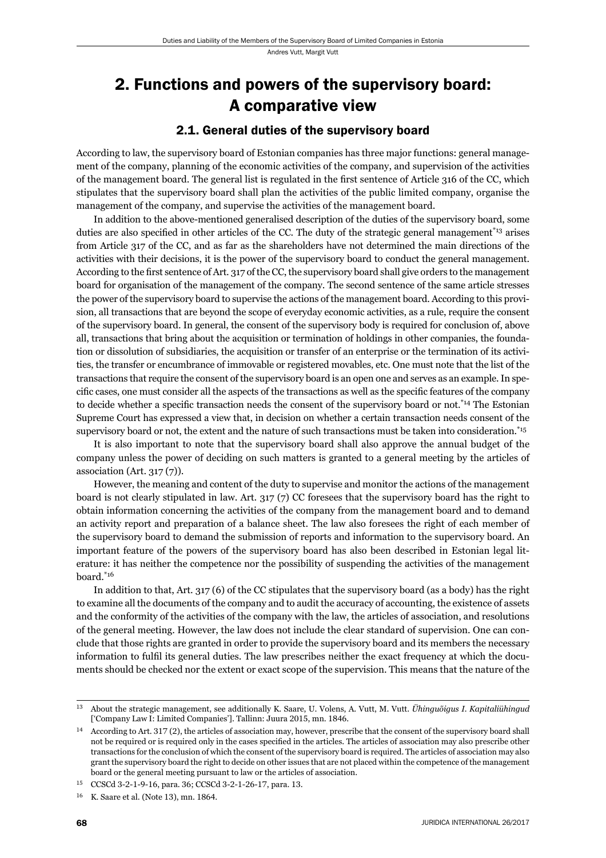## 2. Functions and powers of the supervisory board: A comparative view

#### 2.1. General duties of the supervisory board

According to law, the supervisory board of Estonian companies has three major functions: general management of the company, planning of the economic activities of the company, and supervision of the activities of the management board. The general list is regulated in the first sentence of Article 316 of the CC, which stipulates that the supervisory board shall plan the activities of the public limited company, organise the management of the company, and supervise the activities of the management board.

In addition to the above-mentioned generalised description of the duties of the supervisory board, some duties are also specified in other articles of the CC. The duty of the strategic general management<sup>\*13</sup> arises from Article 317 of the CC, and as far as the shareholders have not determined the main directions of the activities with their decisions, it is the power of the supervisory board to conduct the general management. According to the first sentence of Art. 317 of the CC, the supervisory board shall give orders to the management board for organisation of the management of the company. The second sentence of the same article stresses the power of the supervisory board to supervise the actions of the management board. According to this provision, all transactions that are beyond the scope of everyday economic activities, as a rule, require the consent of the supervisory board. In general, the consent of the supervisory body is required for conclusion of, above all, transactions that bring about the acquisition or termination of holdings in other companies, the foundation or dissolution of subsidiaries, the acquisition or transfer of an enterprise or the termination of its activities, the transfer or encumbrance of immovable or registered movables, etc. One must note that the list of the transactions that require the consent of the supervisory board is an open one and serves as an example. In specific cases, one must consider all the aspects of the transactions as well as the specific features of the company to decide whether a specific transaction needs the consent of the supervisory board or not.<sup>\*14</sup> The Estonian Supreme Court has expressed a view that, in decision on whether a certain transaction needs consent of the supervisory board or not, the extent and the nature of such transactions must be taken into consideration.<sup>\*15</sup>

It is also important to note that the supervisory board shall also approve the annual budget of the company unless the power of deciding on such matters is granted to a general meeting by the articles of association (Art.  $317(7)$ ).

However, the meaning and content of the duty to supervise and monitor the actions of the management board is not clearly stipulated in law. Art. 317 (7) CC foresees that the supervisory board has the right to obtain information concerning the activities of the company from the management board and to demand an activity report and preparation of a balance sheet. The law also foresees the right of each member of the supervisory board to demand the submission of reports and information to the supervisory board. An important feature of the powers of the supervisory board has also been described in Estonian legal literature: it has neither the competence nor the possibility of suspending the activities of the management board.\*16

In addition to that, Art. 317 (6) of the CC stipulates that the supervisory board (as a body) has the right to examine all the documents of the company and to audit the accuracy of accounting, the existence of assets and the conformity of the activities of the company with the law, the articles of association, and resolutions of the general meeting. However, the law does not include the clear standard of supervision. One can conclude that those rights are granted in order to provide the supervisory board and its members the necessary information to fulfil its general duties. The law prescribes neither the exact frequency at which the documents should be checked nor the extent or exact scope of the supervision. This means that the nature of the

ɲɴ About the strategic management, see additionally K. Saare, U. Volens, A. Vutt, M. Vutt. *Ühinguõigus I. Kapitaliühingud* ['Company Law I: Limited Companies']. Tallinn: Juura 2015, mn. 1846.

<sup>&</sup>lt;sup>14</sup> According to Art. 317 (2), the articles of association may, however, prescribe that the consent of the supervisory board shall not be required or is required only in the cases specified in the articles. The articles of association may also prescribe other transactions for the conclusion of which the consent of the supervisory board is required. The articles of association may also grant the supervisory board the right to decide on other issues that are not placed within the competence of the management board or the general meeting pursuant to law or the articles of association.

CCSCd 3-2-1-9-16, para. 36; CCSCd 3-2-1-26-17, para. 13.

 $16$  K. Saare et al. (Note 13), mn. 1864.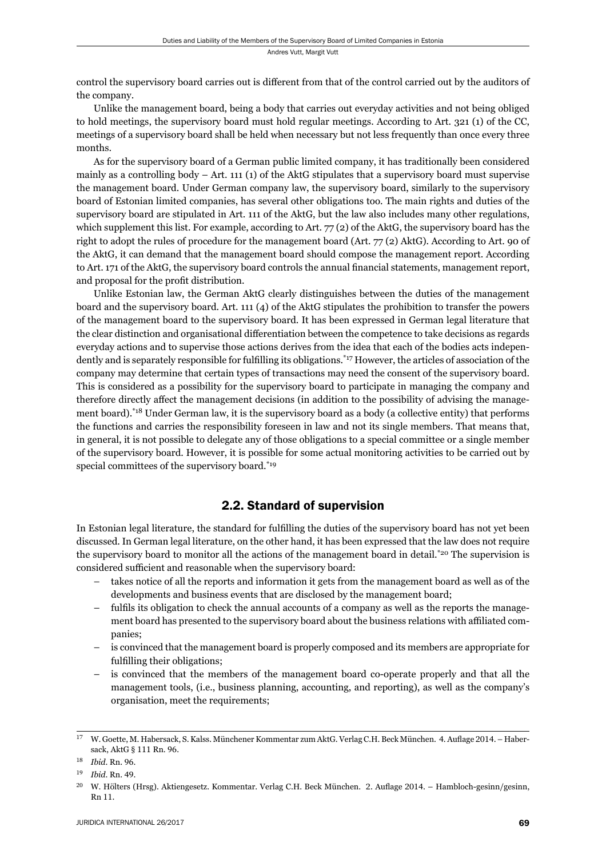control the supervisory board carries out is different from that of the control carried out by the auditors of the company.

Unlike the management board, being a body that carries out everyday activities and not being obliged to hold meetings, the supervisory board must hold regular meetings. According to Art. 321 (1) of the CC, meetings of a supervisory board shall be held when necessary but not less frequently than once every three months.

As for the supervisory board of a German public limited company, it has traditionally been considered mainly as a controlling body – Art. 111 (1) of the AktG stipulates that a supervisory board must supervise the management board. Under German company law, the supervisory board, similarly to the supervisory board of Estonian limited companies, has several other obligations too. The main rights and duties of the supervisory board are stipulated in Art. 111 of the AktG, but the law also includes many other regulations, which supplement this list. For example, according to Art.  $77(2)$  of the AktG, the supervisory board has the right to adopt the rules of procedure for the management board (Art. 77 (2) AktG). According to Art. 90 of the AktG, it can demand that the management board should compose the management report. According to Art. 171 of the AktG, the supervisory board controls the annual financial statements, management report, and proposal for the profit distribution.

Unlike Estonian law, the German AktG clearly distinguishes between the duties of the management board and the supervisory board. Art. 111 (4) of the AktG stipulates the prohibition to transfer the powers of the management board to the supervisory board. It has been expressed in German legal literature that the clear distinction and organisational differentiation between the competence to take decisions as regards everyday actions and to supervise those actions derives from the idea that each of the bodies acts independently and is separately responsible for fulfilling its obligations.<sup>\*17</sup> However, the articles of association of the company may determine that certain types of transactions may need the consent of the supervisory board. This is considered as a possibility for the supervisory board to participate in managing the company and therefore directly affect the management decisions (in addition to the possibility of advising the management board).\*18 Under German law, it is the supervisory board as a body (a collective entity) that performs the functions and carries the responsibility foreseen in law and not its single members. That means that, in general, it is not possible to delegate any of those obligations to a special committee or a single member of the supervisory board. However, it is possible for some actual monitoring activities to be carried out by special committees of the supervisory board.<sup>\*19</sup>

#### 2.2. Standard of supervision

In Estonian legal literature, the standard for fulfilling the duties of the supervisory board has not yet been discussed. In German legal literature, on the other hand, it has been expressed that the law does not require the supervisory board to monitor all the actions of the management board in detail.\*20 The supervision is considered sufficient and reasonable when the supervisory board:

- takes notice of all the reports and information it gets from the management board as well as of the developments and business events that are disclosed by the management board;
- $-$  fulfils its obligation to check the annual accounts of a company as well as the reports the management board has presented to the supervisory board about the business relations with affiliated companies;
- is convinced that the management board is properly composed and its members are appropriate for fulfilling their obligations;
- is convinced that the members of the management board co-operate properly and that all the management tools, (i.e., business planning, accounting, and reporting), as well as the company's organisation, meet the requirements;

W. Goette, M. Habersack, S. Kalss. Münchener Kommentar zum AktG. Verlag C.H. Beck München. 4. Auflage 2014. – Habersack, AktG § 111 Rn. 96.

<sup>18</sup> *Ibid. Rn.* 96.

ɲɺ *Ibid*. Rn. ɵɺ.

<sup>&</sup>lt;sup>20</sup> W. Hölters (Hrsg). Aktiengesetz. Kommentar. Verlag C.H. Beck München. 2. Auflage 2014. – Hambloch-gesinn/gesinn, Rn 11.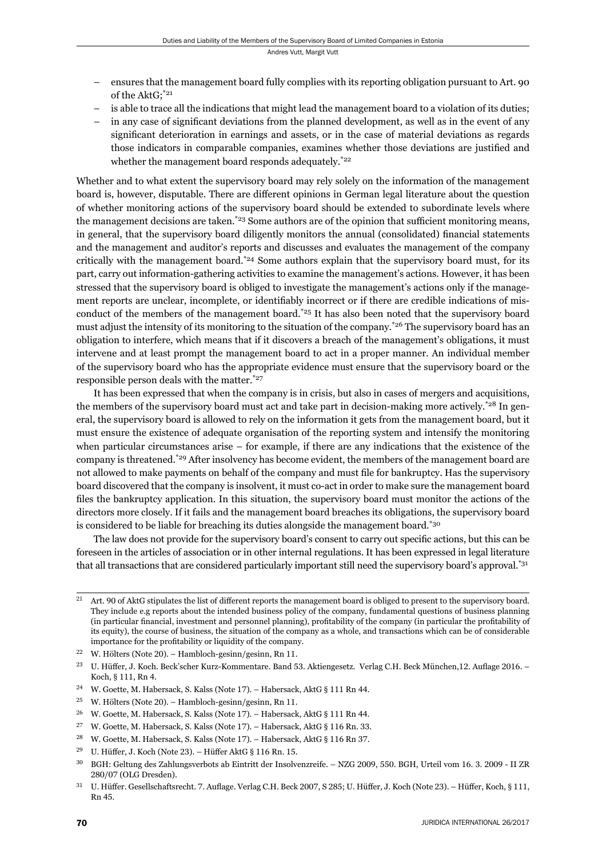- ensures that the management board fully complies with its reporting obligation pursuant to Art. 90 of the AktG;\*21
- is able to trace all the indications that might lead the management board to a violation of its duties;
- in any case of significant deviations from the planned development, as well as in the event of any significant deterioration in earnings and assets, or in the case of material deviations as regards those indicators in comparable companies, examines whether those deviations are justified and whether the management board responds adequately.<sup>\*22</sup>

Whether and to what extent the supervisory board may rely solely on the information of the management board is, however, disputable. There are different opinions in German legal literature about the question of whether monitoring actions of the supervisory board should be extended to subordinate levels where the management decisions are taken. $*23$  Some authors are of the opinion that sufficient monitoring means, in general, that the supervisory board diligently monitors the annual (consolidated) financial statements and the management and auditor's reports and discusses and evaluates the management of the company critically with the management board.<sup>\*24</sup> Some authors explain that the supervisory board must, for its part, carry out information-gathering activities to examine the management's actions. However, it has been stressed that the supervisory board is obliged to investigate the management's actions only if the management reports are unclear, incomplete, or identifiably incorrect or if there are credible indications of misconduct of the members of the management board.<sup>\*25</sup> It has also been noted that the supervisory board must adjust the intensity of its monitoring to the situation of the company.<sup>\*26</sup> The supervisory board has an obligation to interfere, which means that if it discovers a breach of the management's obligations, it must intervene and at least prompt the management board to act in a proper manner. An individual member of the supervisory board who has the appropriate evidence must ensure that the supervisory board or the responsible person deals with the matter.\*27

It has been expressed that when the company is in crisis, but also in cases of mergers and acquisitions, the members of the supervisory board must act and take part in decision-making more actively.<sup>\*28</sup> In general, the supervisory board is allowed to rely on the information it gets from the management board, but it must ensure the existence of adequate organisation of the reporting system and intensify the monitoring when particular circumstances arise – for example, if there are any indications that the existence of the company is threatened.\*29 After insolvency has become evident, the members of the management board are not allowed to make payments on behalf of the company and must file for bankruptcy. Has the supervisory board discovered that the company is insolvent, it must co-act in order to make sure the management board files the bankruptcy application. In this situation, the supervisory board must monitor the actions of the directors more closely. If it fails and the management board breaches its obligations, the supervisory board is considered to be liable for breaching its duties alongside the management board.\*30

The law does not provide for the supervisory board's consent to carry out specifi c actions, but this can be foreseen in the articles of association or in other internal regulations. It has been expressed in legal literature that all transactions that are considered particularly important still need the supervisory board's approval.<sup>\*31</sup>

 $21$  Art. 90 of AktG stipulates the list of different reports the management board is obliged to present to the supervisory board. They include e.g reports about the intended business policy of the company, fundamental questions of business planning (in particular financial, investment and personnel planning), profitability of the company (in particular the profitability of its equity), the course of business, the situation of the company as a whole, and transactions which can be of considerable importance for the profitability or liquidity of the company.

<sup>&</sup>lt;sup>22</sup> W. Hölters (Note 20). – Hambloch-gesinn/gesinn, Rn 11.

<sup>&</sup>lt;sup>23</sup> U. Hüffer, J. Koch. Beck'scher Kurz-Kommentare. Band 53. Aktiengesetz. Verlag C.H. Beck München,12. Auflage 2016. – Koch, § 111, Rn 4.

<sup>&</sup>lt;sup>24</sup> W. Goette, M. Habersack, S. Kalss (Note 17). – Habersack, AktG § 111 Rn 44.

<sup>&</sup>lt;sup>25</sup> W. Hölters (Note 20). – Hambloch-gesinn/gesinn, Rn 11.

<sup>&</sup>lt;sup>26</sup> W. Goette, M. Habersack, S. Kalss (Note 17). – Habersack, AktG § 111 Rn 44.

<sup>&</sup>lt;sup>27</sup> W. Goette, M. Habersack, S. Kalss (Note 17). – Habersack, AktG § 116 Rn. 33.

<sup>&</sup>lt;sup>28</sup> W. Goette, M. Habersack, S. Kalss (Note 17). – Habersack, AktG § 116 Rn 37.

<sup>&</sup>lt;sup>29</sup> U. Hüffer, J. Koch (Note 23). – Hüffer AktG § 116 Rn. 15.

<sup>&</sup>lt;sup>30</sup> BGH: Geltung des Zahlungsverbots ab Eintritt der Insolvenzreife. – NZG 2009, 550. BGH, Urteil vom 16. 3. 2009 - II ZR 280/07 (OLG Dresden).

<sup>&</sup>lt;sup>31</sup> U. Hüffer. Gesellschaftsrecht. 7. Auflage. Verlag C.H. Beck 2007, S 285; U. Hüffer, J. Koch (Note 23). – Hüffer, Koch, § 111, Rn 45.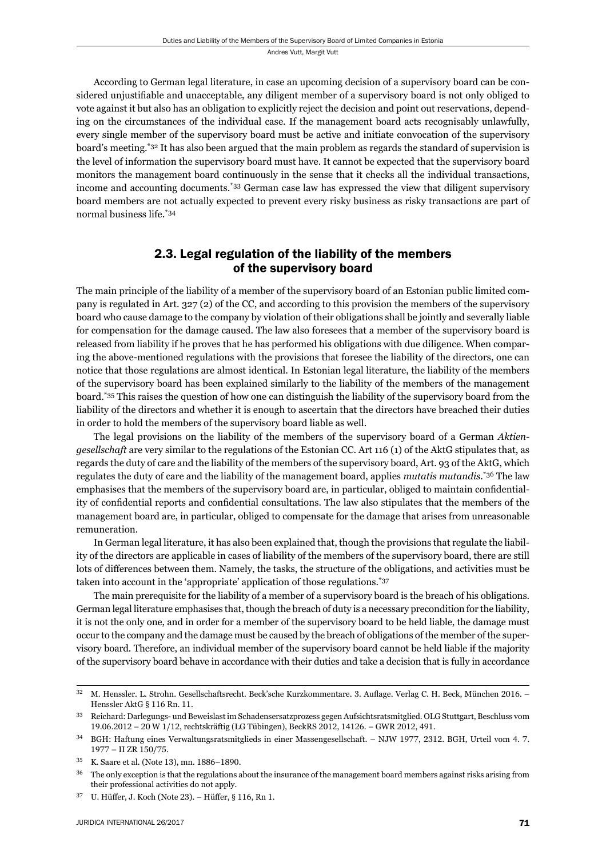According to German legal literature, in case an upcoming decision of a supervisory board can be considered unjustifiable and unacceptable, any diligent member of a supervisory board is not only obliged to vote against it but also has an obligation to explicitly reject the decision and point out reservations, depending on the circumstances of the individual case. If the management board acts recognisably unlawfully, every single member of the supervisory board must be active and initiate convocation of the supervisory board's meeting.\*32 It has also been argued that the main problem as regards the standard of supervision is the level of information the supervisory board must have. It cannot be expected that the supervisory board monitors the management board continuously in the sense that it checks all the individual transactions, income and accounting documents.\*33 German case law has expressed the view that diligent supervisory board members are not actually expected to prevent every risky business as risky transactions are part of normal business life.\*34

### 2.3. Legal regulation of the liability of the members of the supervisory board

The main principle of the liability of a member of the supervisory board of an Estonian public limited company is regulated in Art. 327 (2) of the CC, and according to this provision the members of the supervisory board who cause damage to the company by violation of their obligations shall be jointly and severally liable for compensation for the damage caused. The law also foresees that a member of the supervisory board is released from liability if he proves that he has performed his obligations with due diligence. When comparing the above-mentioned regulations with the provisions that foresee the liability of the directors, one can notice that those regulations are almost identical. In Estonian legal literature, the liability of the members of the supervisory board has been explained similarly to the liability of the members of the management board.\*35 This raises the question of how one can distinguish the liability of the supervisory board from the liability of the directors and whether it is enough to ascertain that the directors have breached their duties in order to hold the members of the supervisory board liable as well.

The legal provisions on the liability of the members of the supervisory board of a German *Aktiengesellschaft* are very similar to the regulations of the Estonian CC. Art 116 (1) of the AktG stipulates that, as regards the duty of care and the liability of the members of the supervisory board, Art. 93 of the AktG, which regulates the duty of care and the liability of the management board, applies *mutatis mutandis*. \*36 The law emphasises that the members of the supervisory board are, in particular, obliged to maintain confidentiality of confidential reports and confidential consultations. The law also stipulates that the members of the management board are, in particular, obliged to compensate for the damage that arises from unreasonable remuneration.

In German legal literature, it has also been explained that, though the provisions that regulate the liability of the directors are applicable in cases of liability of the members of the supervisory board, there are still lots of differences between them. Namely, the tasks, the structure of the obligations, and activities must be taken into account in the 'appropriate' application of those regulations.\*37

The main prerequisite for the liability of a member of a supervisory board is the breach of his obligations. German legal literature emphasises that, though the breach of duty is a necessary precondition for the liability, it is not the only one, and in order for a member of the supervisory board to be held liable, the damage must occur to the company and the damage must be caused by the breach of obligations of the member of the supervisory board. Therefore, an individual member of the supervisory board cannot be held liable if the majority of the supervisory board behave in accordance with their duties and take a decision that is fully in accordance

<sup>&</sup>lt;sup>32</sup> M. Henssler. L. Strohn. Gesellschaftsrecht. Beck'sche Kurzkommentare. 3. Auflage. Verlag C. H. Beck, München 2016. – Henssler Akt $G$   $\delta$  116 Rn. 11.

ɴɴ Reichard: Darlegungs- und Beweislast im Schadensersatzprozess gegen Aufsichtsratsmitglied. OLG Stuttgart, Beschluss vom 19.06.2012 – 20 W 1/12, rechtskräftig (LG Tübingen), BeckRS 2012, 14126. – GWR 2012, 491.

BGH: Haftung eines Verwaltungsratsmitglieds in einer Massengesellschaft. – NJW 1977, 2312. BGH, Urteil vom 4.7. 1977 – II ZR 150/75.

<sup>&</sup>lt;sup>35</sup> K. Saare et al. (Note 13), mn. 1886-1890.

<sup>&</sup>lt;sup>36</sup> The only exception is that the regulations about the insurance of the management board members against risks arising from their professional activities do not apply.

 $37$  U. Hüffer, J. Koch (Note 23). – Hüffer, § 116, Rn 1.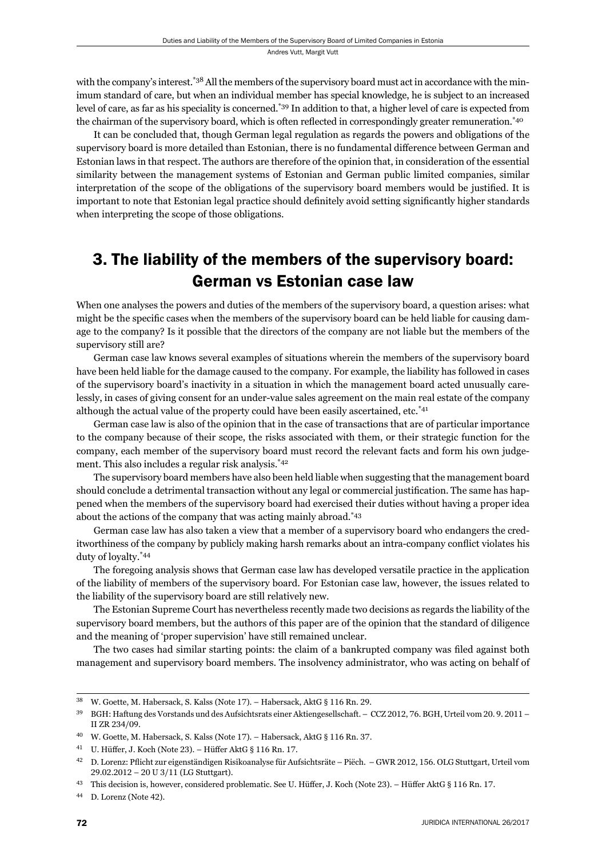with the company's interest.<sup>\*38</sup> All the members of the supervisory board must act in accordance with the minimum standard of care, but when an individual member has special knowledge, he is subject to an increased level of care, as far as his speciality is concerned.\*39 In addition to that, a higher level of care is expected from the chairman of the supervisory board, which is often reflected in correspondingly greater remuneration.<sup>\*40</sup>

It can be concluded that, though German legal regulation as regards the powers and obligations of the supervisory board is more detailed than Estonian, there is no fundamental difference between German and Estonian laws in that respect. The authors are therefore of the opinion that, in consideration of the essential similarity between the management systems of Estonian and German public limited companies, similar interpretation of the scope of the obligations of the supervisory board members would be justified. It is important to note that Estonian legal practice should definitely avoid setting significantly higher standards when interpreting the scope of those obligations.

## 3. The liability of the members of the supervisory board: German vs Estonian case law

When one analyses the powers and duties of the members of the supervisory board, a question arises: what might be the specific cases when the members of the supervisory board can be held liable for causing damage to the company? Is it possible that the directors of the company are not liable but the members of the supervisory still are?

German case law knows several examples of situations wherein the members of the supervisory board have been held liable for the damage caused to the company. For example, the liability has followed in cases of the supervisory board's inactivity in a situation in which the management board acted unusually carelessly, in cases of giving consent for an under-value sales agreement on the main real estate of the company although the actual value of the property could have been easily ascertained, etc.\*41

German case law is also of the opinion that in the case of transactions that are of particular importance to the company because of their scope, the risks associated with them, or their strategic function for the company, each member of the supervisory board must record the relevant facts and form his own judgement. This also includes a regular risk analysis.\*42

The supervisory board members have also been held liable when suggesting that the management board should conclude a detrimental transaction without any legal or commercial justification. The same has happened when the members of the supervisory board had exercised their duties without having a proper idea about the actions of the company that was acting mainly abroad.\*43

German case law has also taken a view that a member of a supervisory board who endangers the creditworthiness of the company by publicly making harsh remarks about an intra-company conflict violates his duty of loyalty.\*44

The foregoing analysis shows that German case law has developed versatile practice in the application of the liability of members of the supervisory board. For Estonian case law, however, the issues related to the liability of the supervisory board are still relatively new.

The Estonian Supreme Court has nevertheless recently made two decisions as regards the liability of the supervisory board members, but the authors of this paper are of the opinion that the standard of diligence and the meaning of 'proper supervision' have still remained unclear.

The two cases had similar starting points: the claim of a bankrupted company was filed against both management and supervisory board members. The insolvency administrator, who was acting on behalf of

<sup>&</sup>lt;sup>38</sup> W. Goette, M. Habersack, S. Kalss (Note 17). – Habersack, AktG § 116 Rn. 29.

<sup>&</sup>lt;sup>39</sup> BGH: Haftung des Vorstands und des Aufsichtsrats einer Aktiengesellschaft. – CCZ 2012, 76. BGH, Urteil vom 20. 9. 2011 – II ZR 234/09.

<sup>&</sup>lt;sup>40</sup> W. Goette, M. Habersack, S. Kalss (Note 17). – Habersack, AktG § 116 Rn. 37.

<sup>&</sup>lt;sup>41</sup> U. Hüffer, J. Koch (Note 23). – Hüffer AktG § 116 Rn. 17.

<sup>&</sup>lt;sup>42</sup> D. Lorenz: Pflicht zur eigenständigen Risikoanalyse für Aufsichtsräte – Piëch. – GWR 2012, 156. OLG Stuttgart, Urteil vom 29.02.2012 - 20 U 3/11 (LG Stuttgart).

<sup>&</sup>lt;sup>43</sup> This decision is, however, considered problematic. See U. Hüffer, J. Koch (Note 23). – Hüffer AktG § 116 Rn. 17.

<sup>&</sup>lt;sup>44</sup> D. Lorenz (Note 42).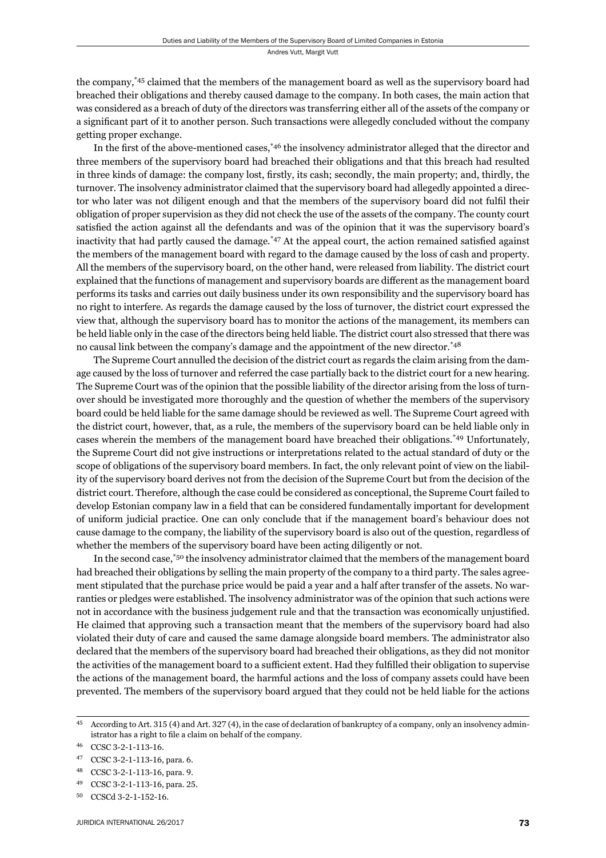the company,\*45 claimed that the members of the management board as well as the supervisory board had breached their obligations and thereby caused damage to the company. In both cases, the main action that was considered as a breach of duty of the directors was transferring either all of the assets of the company or a significant part of it to another person. Such transactions were allegedly concluded without the company getting proper exchange.

In the first of the above-mentioned cases,<sup>\*46</sup> the insolvency administrator alleged that the director and three members of the supervisory board had breached their obligations and that this breach had resulted in three kinds of damage: the company lost, firstly, its cash; secondly, the main property; and, thirdly, the turnover. The insolvency administrator claimed that the supervisory board had allegedly appointed a director who later was not diligent enough and that the members of the supervisory board did not fulfi l their obligation of proper supervision as they did not check the use of the assets of the company. The county court satisfied the action against all the defendants and was of the opinion that it was the supervisory board's inactivity that had partly caused the damage.\* $47$  At the appeal court, the action remained satisfied against the members of the management board with regard to the damage caused by the loss of cash and property. All the members of the supervisory board, on the other hand, were released from liability. The district court explained that the functions of management and supervisory boards are different as the management board performs its tasks and carries out daily business under its own responsibility and the supervisory board has no right to interfere. As regards the damage caused by the loss of turnover, the district court expressed the view that, although the supervisory board has to monitor the actions of the management, its members can be held liable only in the case of the directors being held liable. The district court also stressed that there was no causal link between the company's damage and the appointment of the new director.\*48

The Supreme Court annulled the decision of the district court as regards the claim arising from the damage caused by the loss of turnover and referred the case partially back to the district court for a new hearing. The Supreme Court was of the opinion that the possible liability of the director arising from the loss of turnover should be investigated more thoroughly and the question of whether the members of the supervisory board could be held liable for the same damage should be reviewed as well. The Supreme Court agreed with the district court, however, that, as a rule, the members of the supervisory board can be held liable only in cases wherein the members of the management board have breached their obligations.\*49 Unfortunately, the Supreme Court did not give instructions or interpretations related to the actual standard of duty or the scope of obligations of the supervisory board members. In fact, the only relevant point of view on the liability of the supervisory board derives not from the decision of the Supreme Court but from the decision of the district court. Therefore, although the case could be considered as conceptional, the Supreme Court failed to develop Estonian company law in a field that can be considered fundamentally important for development of uniform judicial practice. One can only conclude that if the management board's behaviour does not cause damage to the company, the liability of the supervisory board is also out of the question, regardless of whether the members of the supervisory board have been acting diligently or not.

In the second case,<sup>\*50</sup> the insolvency administrator claimed that the members of the management board had breached their obligations by selling the main property of the company to a third party. The sales agreement stipulated that the purchase price would be paid a year and a half after transfer of the assets. No warranties or pledges were established. The insolvency administrator was of the opinion that such actions were not in accordance with the business judgement rule and that the transaction was economically unjustified. He claimed that approving such a transaction meant that the members of the supervisory board had also violated their duty of care and caused the same damage alongside board members. The administrator also declared that the members of the supervisory board had breached their obligations, as they did not monitor the activities of the management board to a sufficient extent. Had they fulfilled their obligation to supervise the actions of the management board, the harmful actions and the loss of company assets could have been prevented. The members of the supervisory board argued that they could not be held liable for the actions

<sup>&</sup>lt;sup>45</sup> According to Art. 315 (4) and Art. 327 (4), in the case of declaration of bankruptcy of a company, only an insolvency administrator has a right to file a claim on behalf of the company.

<sup>46</sup> CCSC 3-2-1-113-16.

<sup>47</sup> CCSC 3-2-1-113-16, para. 6.

<sup>48</sup> CCSC 3-2-1-113-16, para. 9.

CCSC 3-2-1-113-16, para. 25.

<sup>50</sup> CCSCd 3-2-1-152-16.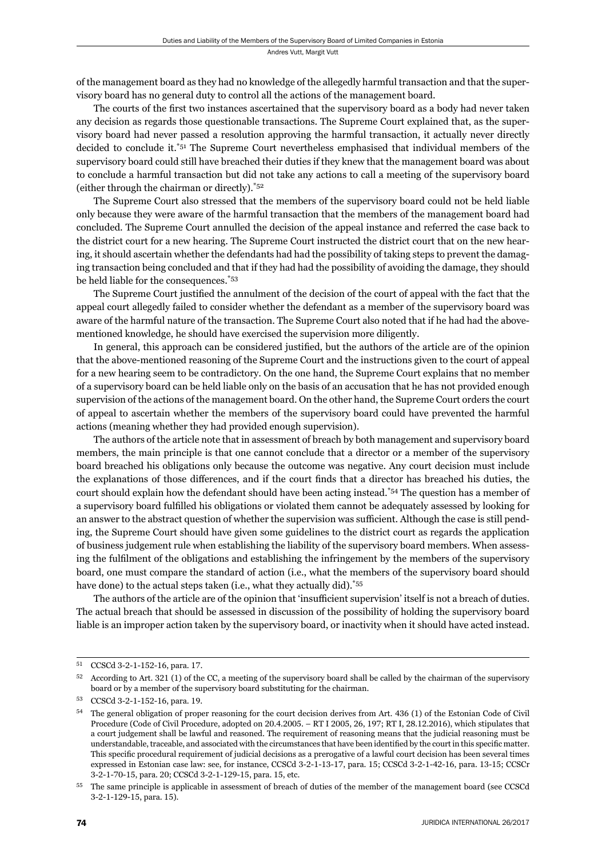of the management board as they had no knowledge of the allegedly harmful transaction and that the supervisory board has no general duty to control all the actions of the management board.

The courts of the first two instances ascertained that the supervisory board as a body had never taken any decision as regards those questionable transactions. The Supreme Court explained that, as the supervisory board had never passed a resolution approving the harmful transaction, it actually never directly decided to conclude it.\*51 The Supreme Court nevertheless emphasised that individual members of the supervisory board could still have breached their duties if they knew that the management board was about to conclude a harmful transaction but did not take any actions to call a meeting of the supervisory board (either through the chairman or directly).\*52

The Supreme Court also stressed that the members of the supervisory board could not be held liable only because they were aware of the harmful transaction that the members of the management board had concluded. The Supreme Court annulled the decision of the appeal instance and referred the case back to the district court for a new hearing. The Supreme Court instructed the district court that on the new hearing, it should ascertain whether the defendants had had the possibility of taking steps to prevent the damaging transaction being concluded and that if they had had the possibility of avoiding the damage, they should be held liable for the consequences.\*53

The Supreme Court justified the annulment of the decision of the court of appeal with the fact that the appeal court allegedly failed to consider whether the defendant as a member of the supervisory board was aware of the harmful nature of the transaction. The Supreme Court also noted that if he had had the abovementioned knowledge, he should have exercised the supervision more diligently.

In general, this approach can be considered justified, but the authors of the article are of the opinion that the above-mentioned reasoning of the Supreme Court and the instructions given to the court of appeal for a new hearing seem to be contradictory. On the one hand, the Supreme Court explains that no member of a supervisory board can be held liable only on the basis of an accusation that he has not provided enough supervision of the actions of the management board. On the other hand, the Supreme Court orders the court of appeal to ascertain whether the members of the supervisory board could have prevented the harmful actions (meaning whether they had provided enough supervision).

The authors of the article note that in assessment of breach by both management and supervisory board members, the main principle is that one cannot conclude that a director or a member of the supervisory board breached his obligations only because the outcome was negative. Any court decision must include the explanations of those differences, and if the court finds that a director has breached his duties, the court should explain how the defendant should have been acting instead.\*54 The question has a member of a supervisory board fulfilled his obligations or violated them cannot be adequately assessed by looking for an answer to the abstract question of whether the supervision was sufficient. Although the case is still pending, the Supreme Court should have given some guidelines to the district court as regards the application of business judgement rule when establishing the liability of the supervisory board members. When assessing the fulfilment of the obligations and establishing the infringement by the members of the supervisory board, one must compare the standard of action (i.e., what the members of the supervisory board should have done) to the actual steps taken (i.e., what they actually did).<sup>\*55</sup>

The authors of the article are of the opinion that 'insufficient supervision' itself is not a breach of duties. The actual breach that should be assessed in discussion of the possibility of holding the supervisory board liable is an improper action taken by the supervisory board, or inactivity when it should have acted instead.

<sup>51</sup> CCSCd 3-2-1-152-16, para. 17.

 $52$  According to Art. 321 (1) of the CC, a meeting of the supervisory board shall be called by the chairman of the supervisory board or by a member of the supervisory board substituting for the chairman.

<sup>53</sup> CCSCd 3-2-1-152-16, para. 19.

The general obligation of proper reasoning for the court decision derives from Art. 436 (1) of the Estonian Code of Civil Procedure (Code of Civil Procedure, adopted on 20.4.2005. – RT I 2005, 26, 197; RT I, 28.12.2016), which stipulates that a court judgement shall be lawful and reasoned. The requirement of reasoning means that the judicial reasoning must be understandable, traceable, and associated with the circumstances that have been identified by the court in this specific matter. This specific procedural requirement of judicial decisions as a prerogative of a lawful court decision has been several times expressed in Estonian case law: see, for instance, CCSCd 3-2-1-13-17, para. 15; CCSCd 3-2-1-42-16, para. 13-15; CCSCr 3-2-1-70-15, para. 20; CCSCd 3-2-1-129-15, para. 15, etc.

ɶɶ The same principle is applicable in assessment of breach of duties of the member of the management board (see CCSCd 3-2-1-129-15, para. 15).